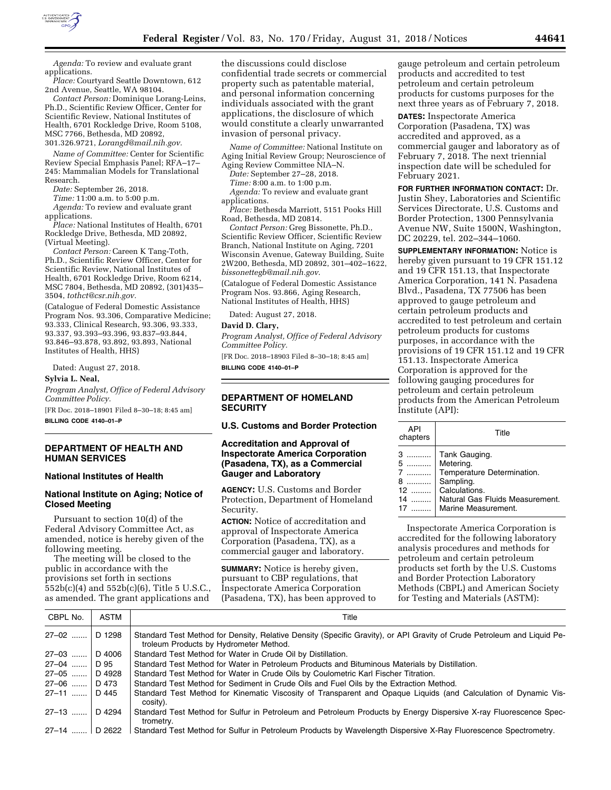

*Agenda:* To review and evaluate grant applications.

*Place:* Courtyard Seattle Downtown, 612 2nd Avenue, Seattle, WA 98104.

*Contact Person:* Dominique Lorang-Leins, Ph.D., Scientific Review Officer, Center for Scientific Review, National Institutes of Health, 6701 Rockledge Drive, Room 5108, MSC 7766, Bethesda, MD 20892, 301.326.9721, *[Lorangd@mail.nih.gov.](mailto:Lorangd@mail.nih.gov)* 

*Name of Committee:* Center for Scientific Review Special Emphasis Panel; RFA–17– 245: Mammalian Models for Translational Research.

*Date:* September 26, 2018.

*Time:* 11:00 a.m. to 5:00 p.m.

*Agenda:* To review and evaluate grant applications.

*Place:* National Institutes of Health, 6701 Rockledge Drive, Bethesda, MD 20892, (Virtual Meeting).

*Contact Person:* Careen K Tang-Toth, Ph.D., Scientific Review Officer, Center for Scientific Review, National Institutes of Health, 6701 Rockledge Drive, Room 6214, MSC 7804, Bethesda, MD 20892, (301)435– 3504, *[tothct@csr.nih.gov.](mailto:tothct@csr.nih.gov)* 

(Catalogue of Federal Domestic Assistance Program Nos. 93.306, Comparative Medicine; 93.333, Clinical Research, 93.306, 93.333, 93.337, 93.393–93.396, 93.837–93.844, 93.846–93.878, 93.892, 93.893, National Institutes of Health, HHS)

Dated: August 27, 2018.

**Sylvia L. Neal,** 

*Program Analyst, Office of Federal Advisory Committee Policy.* 

[FR Doc. 2018–18901 Filed 8–30–18; 8:45 am]

**BILLING CODE 4140–01–P** 

# **DEPARTMENT OF HEALTH AND HUMAN SERVICES**

## **National Institutes of Health**

## **National Institute on Aging; Notice of Closed Meeting**

Pursuant to section 10(d) of the Federal Advisory Committee Act, as amended, notice is hereby given of the following meeting.

The meeting will be closed to the public in accordance with the provisions set forth in sections 552b(c)(4) and 552b(c)(6), Title 5 U.S.C., as amended. The grant applications and the discussions could disclose confidential trade secrets or commercial property such as patentable material, and personal information concerning individuals associated with the grant applications, the disclosure of which would constitute a clearly unwarranted invasion of personal privacy.

*Name of Committee:* National Institute on Aging Initial Review Group; Neuroscience of Aging Review Committee NIA–N.

*Date:* September 27–28, 2018.

*Time:* 8:00 a.m. to 1:00 p.m.

*Agenda:* To review and evaluate grant applications.

*Place:* Bethesda Marriott, 5151 Pooks Hill Road, Bethesda, MD 20814.

*Contact Person:* Greg Bissonette, Ph.D., Scientific Review Officer, Scientific Review Branch, National Institute on Aging, 7201 Wisconsin Avenue, Gateway Building, Suite 2W200, Bethesda, MD 20892, 301–402–1622, *[bissonettegb@mail.nih.gov](mailto:bissonettegb@mail.nih.gov)*.

(Catalogue of Federal Domestic Assistance Program Nos. 93.866, Aging Research, National Institutes of Health, HHS)

Dated: August 27, 2018.

#### **David D. Clary,**

*Program Analyst, Office of Federal Advisory Committee Policy.* 

[FR Doc. 2018–18903 Filed 8–30–18; 8:45 am] **BILLING CODE 4140–01–P** 

### **DEPARTMENT OF HOMELAND SECURITY**

## **U.S. Customs and Border Protection**

# **Accreditation and Approval of Inspectorate America Corporation (Pasadena, TX), as a Commercial Gauger and Laboratory**

**AGENCY:** U.S. Customs and Border Protection, Department of Homeland Security.

**ACTION:** Notice of accreditation and approval of Inspectorate America Corporation (Pasadena, TX), as a commercial gauger and laboratory.

**SUMMARY:** Notice is hereby given, pursuant to CBP regulations, that Inspectorate America Corporation (Pasadena, TX), has been approved to

gauge petroleum and certain petroleum products and accredited to test petroleum and certain petroleum products for customs purposes for the next three years as of February 7, 2018.

**DATES:** Inspectorate America Corporation (Pasadena, TX) was accredited and approved, as a commercial gauger and laboratory as of February 7, 2018. The next triennial inspection date will be scheduled for February 2021.

**FOR FURTHER INFORMATION CONTACT:** Dr. Justin Shey, Laboratories and Scientific Services Directorate, U.S. Customs and Border Protection, 1300 Pennsylvania Avenue NW, Suite 1500N, Washington, DC 20229, tel. 202–344–1060.

**SUPPLEMENTARY INFORMATION:** Notice is hereby given pursuant to 19 CFR 151.12 and 19 CFR 151.13, that Inspectorate America Corporation, 141 N. Pasadena Blvd., Pasadena, TX 77506 has been approved to gauge petroleum and certain petroleum products and accredited to test petroleum and certain petroleum products for customs purposes, in accordance with the provisions of 19 CFR 151.12 and 19 CFR 151.13. Inspectorate America Corporation is approved for the following gauging procedures for petroleum and certain petroleum products from the American Petroleum Institute (API):

| API<br>chapters               | Title                                                                                                                                            |
|-------------------------------|--------------------------------------------------------------------------------------------------------------------------------------------------|
| 3<br>5<br>8<br>12<br>14<br>17 | Tank Gauging.<br>Metering.<br>Temperature Determination.<br>Sampling.<br>Calculations.<br>Natural Gas Fluids Measurement.<br>Marine Measurement. |

Inspectorate America Corporation is accredited for the following laboratory analysis procedures and methods for petroleum and certain petroleum products set forth by the U.S. Customs and Border Protection Laboratory Methods (CBPL) and American Society for Testing and Materials (ASTM):

| CBPL No.  | ASTM           | Title                                                                                                                                                             |
|-----------|----------------|-------------------------------------------------------------------------------------------------------------------------------------------------------------------|
| 27–02 ……  | D 1298         | Standard Test Method for Density, Relative Density (Specific Gravity), or API Gravity of Crude Petroleum and Liquid Pe-<br>troleum Products by Hydrometer Method. |
| 27–03 ……  | D 4006         | Standard Test Method for Water in Crude Oil by Distillation.                                                                                                      |
| 27–04 ……  | D 95           | Standard Test Method for Water in Petroleum Products and Bituminous Materials by Distillation.                                                                    |
| 27–05 ……. | D 4928         | Standard Test Method for Water in Crude Oils by Coulometric Karl Fischer Titration.                                                                               |
| 27–06 ……  | D 473          | Standard Test Method for Sediment in Crude Oils and Fuel Oils by the Extraction Method.                                                                           |
| 27–11 ……. | D 445          | Standard Test Method for Kinematic Viscosity of Transparent and Opaque Liquids (and Calculation of Dynamic Vis-<br>cosity).                                       |
| 27–13 ……. | D 4294         | Standard Test Method for Sulfur in Petroleum and Petroleum Products by Energy Dispersive X-ray Fluorescence Spec-<br>trometry.                                    |
| 27–14   ' | $\vert$ D 2622 | Standard Test Method for Sulfur in Petroleum Products by Wavelength Dispersive X-Ray Fluorescence Spectrometry.                                                   |